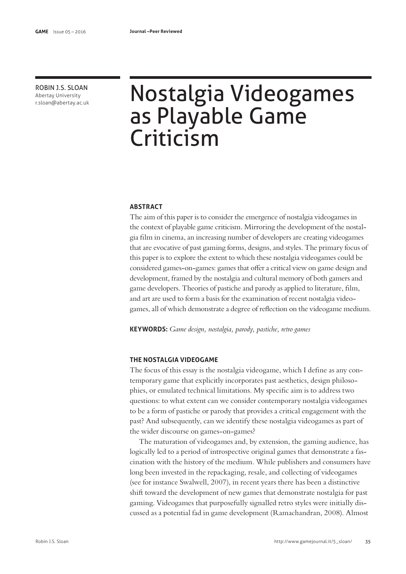ROBIN J.S. SLOAN Abertay University

# ROBIN J.S. SLOAN Nostalgia Videogames as Playable Game Criticism

### **ABSTRACT**

The aim of this paper is to consider the emergence of nostalgia videogames in the context of playable game criticism. Mirroring the development of the nostalgia flm in cinema, an increasing number of developers are creating videogames that are evocative of past gaming forms, designs, and styles. The primary focus of this paper is to explore the extent to which these nostalgia videogames could be considered games-on-games: games that ofer a critical view on game design and development, framed by the nostalgia and cultural memory of both gamers and game developers. Theories of pastiche and parody as applied to literature, flm, and art are used to form a basis for the examination of recent nostalgia videogames, all of which demonstrate a degree of refection on the videogame medium.

**KEYWORDS:** *Game design, nostalgia, parody, pastiche, retro games*

# **THE NOSTALGIA VIDEOGAME**

The focus of this essay is the nostalgia videogame, which I defne as any contemporary game that explicitly incorporates past aesthetics, design philosophies, or emulated technical limitations. My specifc aim is to address two questions: to what extent can we consider contemporary nostalgia videogames to be a form of pastiche or parody that provides a critical engagement with the past? And subsequently, can we identify these nostalgia videogames as part of the wider discourse on games-on-games?

The maturation of videogames and, by extension, the gaming audience, has logically led to a period of introspective original games that demonstrate a fascination with the history of the medium. While publishers and consumers have long been invested in the repackaging, resale, and collecting of videogames (see for instance Swalwell, 2007), in recent years there has been a distinctive shift toward the development of new games that demonstrate nostalgia for past gaming. Videogames that purposefully signalled retro styles were initially discussed as a potential fad in game development (Ramachandran, 2008). Almost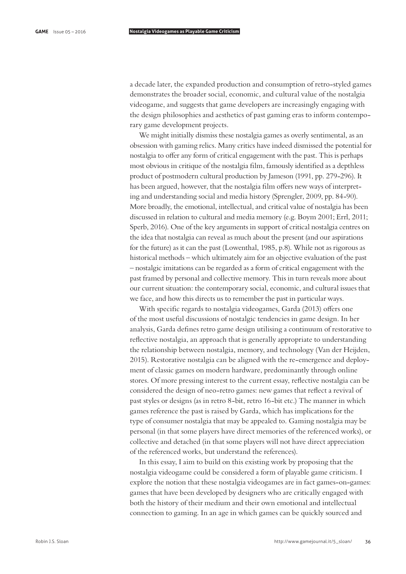a decade later, the expanded production and consumption of retro-styled games demonstrates the broader social, economic, and cultural value of the nostalgia videogame, and suggests that game developers are increasingly engaging with the design philosophies and aesthetics of past gaming eras to inform contemporary game development projects.

We might initially dismiss these nostalgia games as overly sentimental, as an obsession with gaming relics. Many critics have indeed dismissed the potential for nostalgia to ofer any form of critical engagement with the past. This is perhaps most obvious in critique of the nostalgia flm, famously identifed as a depthless product of postmodern cultural production by Jameson (1991, pp. 279-296). It has been argued, however, that the nostalgia film offers new ways of interpreting and understanding social and media history (Sprengler, 2009, pp. 84-90). More broadly, the emotional, intellectual, and critical value of nostalgia has been discussed in relation to cultural and media memory (e.g. Boym 2001; Errl, 2011; Sperb, 2016). One of the key arguments in support of critical nostalgia centres on the idea that nostalgia can reveal as much about the present (and our aspirations for the future) as it can the past (Lowenthal, 1985, p.8). While not as rigorous as historical methods – which ultimately aim for an objective evaluation of the past – nostalgic imitations can be regarded as a form of critical engagement with the past framed by personal and collective memory. This in turn reveals more about our current situation: the contemporary social, economic, and cultural issues that we face, and how this directs us to remember the past in particular ways.

With specific regards to nostalgia videogames, Garda (2013) offers one of the most useful discussions of nostalgic tendencies in game design. In her analysis, Garda defnes retro game design utilising a continuum of restorative to refective nostalgia, an approach that is generally appropriate to understanding the relationship between nostalgia, memory, and technology (Van der Heijden, 2015). Restorative nostalgia can be aligned with the re-emergence and deployment of classic games on modern hardware, predominantly through online stores. Of more pressing interest to the current essay, refective nostalgia can be considered the design of neo-retro games: new games that refect a revival of past styles or designs (as in retro 8-bit, retro 16-bit etc.) The manner in which games reference the past is raised by Garda, which has implications for the type of consumer nostalgia that may be appealed to. Gaming nostalgia may be personal (in that some players have direct memories of the referenced works), or collective and detached (in that some players will not have direct appreciation of the referenced works, but understand the references).

In this essay, I aim to build on this existing work by proposing that the nostalgia videogame could be considered a form of playable game criticism. I explore the notion that these nostalgia videogames are in fact games-on-games: games that have been developed by designers who are critically engaged with both the history of their medium and their own emotional and intellectual connection to gaming. In an age in which games can be quickly sourced and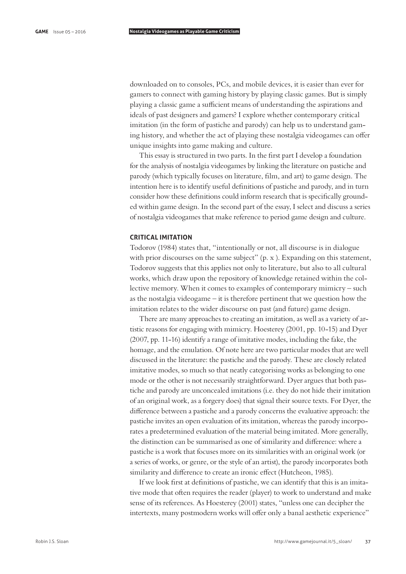downloaded on to consoles, PCs, and mobile devices, it is easier than ever for gamers to connect with gaming history by playing classic games. But is simply playing a classic game a sufficient means of understanding the aspirations and ideals of past designers and gamers? I explore whether contemporary critical imitation (in the form of pastiche and parody) can help us to understand gaming history, and whether the act of playing these nostalgia videogames can offer unique insights into game making and culture.

This essay is structured in two parts. In the frst part I develop a foundation for the analysis of nostalgia videogames by linking the literature on pastiche and parody (which typically focuses on literature, flm, and art) to game design. The intention here is to identify useful defnitions of pastiche and parody, and in turn consider how these defnitions could inform research that is specifcally grounded within game design. In the second part of the essay, I select and discuss a series of nostalgia videogames that make reference to period game design and culture.

# **CRITICAL IMITATION**

Todorov (1984) states that, "intentionally or not, all discourse is in dialogue with prior discourses on the same subject" (p. x ). Expanding on this statement, Todorov suggests that this applies not only to literature, but also to all cultural works, which draw upon the repository of knowledge retained within the collective memory. When it comes to examples of contemporary mimicry – such as the nostalgia videogame – it is therefore pertinent that we question how the imitation relates to the wider discourse on past (and future) game design.

There are many approaches to creating an imitation, as well as a variety of artistic reasons for engaging with mimicry. Hoesterey (2001, pp. 10-15) and Dyer (2007, pp. 11-16) identify a range of imitative modes, including the fake, the homage, and the emulation. Of note here are two particular modes that are well discussed in the literature: the pastiche and the parody. These are closely related imitative modes, so much so that neatly categorising works as belonging to one mode or the other is not necessarily straightforward. Dyer argues that both pastiche and parody are unconcealed imitations (i.e. they do not hide their imitation of an original work, as a forgery does) that signal their source texts. For Dyer, the diference between a pastiche and a parody concerns the evaluative approach: the pastiche invites an open evaluation of its imitation, whereas the parody incorporates a predetermined evaluation of the material being imitated. More generally, the distinction can be summarised as one of similarity and diference: where a pastiche is a work that focuses more on its similarities with an original work (or a series of works, or genre, or the style of an artist), the parody incorporates both similarity and difference to create an ironic effect (Hutcheon, 1985).

If we look frst at defnitions of pastiche, we can identify that this is an imitative mode that often requires the reader (player) to work to understand and make sense of its references. As Hoesterey (2001) states, "unless one can decipher the intertexts, many postmodern works will offer only a banal aesthetic experience"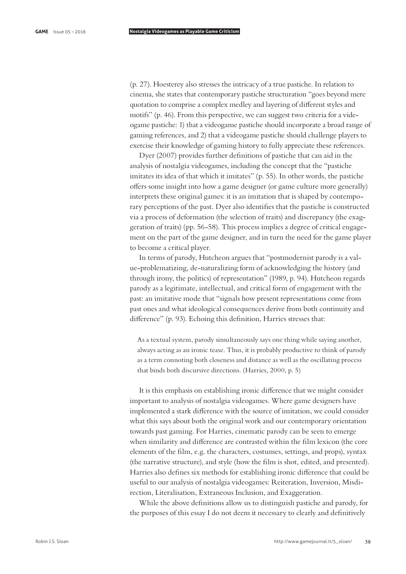(p. 27). Hoesterey also stresses the intricacy of a true pastiche. In relation to cinema, she states that contemporary pastiche structuration "goes beyond mere quotation to comprise a complex medley and layering of diferent styles and motifs" (p. 46). From this perspective, we can suggest two criteria for a videogame pastiche: 1) that a videogame pastiche should incorporate a broad range of gaming references, and 2) that a videogame pastiche should challenge players to exercise their knowledge of gaming history to fully appreciate these references.

Dyer (2007) provides further defnitions of pastiche that can aid in the analysis of nostalgia videogames, including the concept that the "pastiche imitates its idea of that which it imitates" (p. 55). In other words, the pastiche ofers some insight into how a game designer (or game culture more generally) interprets these original games: it is an imitation that is shaped by contemporary perceptions of the past. Dyer also identifes that the pastiche is constructed via a process of deformation (the selection of traits) and discrepancy (the exaggeration of traits) (pp. 56-58). This process implies a degree of critical engagement on the part of the game designer, and in turn the need for the game player to become a critical player.

In terms of parody, Hutcheon argues that "postmodernist parody is a value-problematizing, de-naturalizing form of acknowledging the history (and through irony, the politics) of representation" (1989, p. 94). Hutcheon regards parody as a legitimate, intellectual, and critical form of engagement with the past: an imitative mode that "signals how present representations come from past ones and what ideological consequences derive from both continuity and diference" (p. 93). Echoing this defnition, Harries stresses that:

As a textual system, parody simultaneously says one thing while saying another, always acting as an ironic tease. Thus, it is probably productive to think of parody as a term connoting both closeness and distance as well as the oscillating process that binds both discursive directions. (Harries, 2000, p. 5)

It is this emphasis on establishing ironic diference that we might consider important to analysis of nostalgia videogames. Where game designers have implemented a stark diference with the source of imitation, we could consider what this says about both the original work and our contemporary orientation towards past gaming. For Harries, cinematic parody can be seen to emerge when similarity and diference are contrasted within the flm lexicon (the core elements of the flm, e.g. the characters, costumes, settings, and props), syntax (the narrative structure), and style (how the flm is shot, edited, and presented). Harries also defnes six methods for establishing ironic diference that could be useful to our analysis of nostalgia videogames: Reiteration, Inversion, Misdirection, Literalisation, Extraneous Inclusion, and Exaggeration.

While the above defnitions allow us to distinguish pastiche and parody, for the purposes of this essay I do not deem it necessary to clearly and defnitively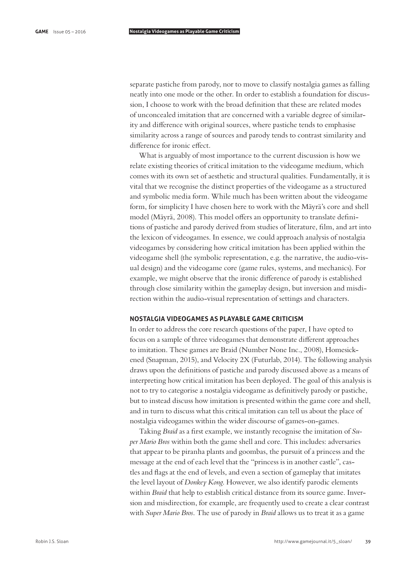separate pastiche from parody, nor to move to classify nostalgia games as falling neatly into one mode or the other. In order to establish a foundation for discussion, I choose to work with the broad defnition that these are related modes of unconcealed imitation that are concerned with a variable degree of similarity and diference with original sources, where pastiche tends to emphasise similarity across a range of sources and parody tends to contrast similarity and diference for ironic efect.

What is arguably of most importance to the current discussion is how we relate existing theories of critical imitation to the videogame medium, which comes with its own set of aesthetic and structural qualities. Fundamentally, it is vital that we recognise the distinct properties of the videogame as a structured and symbolic media form. While much has been written about the videogame form, for simplicity I have chosen here to work with the Mäyrä's core and shell model (Mäyrä, 2008). This model offers an opportunity to translate definitions of pastiche and parody derived from studies of literature, flm, and art into the lexicon of videogames. In essence, we could approach analysis of nostalgia videogames by considering how critical imitation has been applied within the videogame shell (the symbolic representation, e.g. the narrative, the audio-visual design) and the videogame core (game rules, systems, and mechanics). For example, we might observe that the ironic diference of parody is established through close similarity within the gameplay design, but inversion and misdirection within the audio-visual representation of settings and characters.

### **NOSTALGIA VIDEOGAMES AS PLAYABLE GAME CRITICISM**

In order to address the core research questions of the paper, I have opted to focus on a sample of three videogames that demonstrate diferent approaches to imitation. These games are Braid (Number None Inc., 2008), Homesickened (Snapman, 2015), and Velocity 2X (Futurlab, 2014). The following analysis draws upon the defnitions of pastiche and parody discussed above as a means of interpreting how critical imitation has been deployed. The goal of this analysis is not to try to categorise a nostalgia videogame as defnitively parody or pastiche, but to instead discuss how imitation is presented within the game core and shell, and in turn to discuss what this critical imitation can tell us about the place of nostalgia videogames within the wider discourse of games-on-games.

Taking *Braid* as a frst example, we instantly recognise the imitation of *Super Mario Bros* within both the game shell and core. This includes: adversaries that appear to be piranha plants and goombas, the pursuit of a princess and the message at the end of each level that the "princess is in another castle", castles and fags at the end of levels, and even a section of gameplay that imitates the level layout of *Donkey Kong*. However, we also identify parodic elements within *Braid* that help to establish critical distance from its source game. Inversion and misdirection, for example, are frequently used to create a clear contrast with *Super Mario Bros*. The use of parody in *Braid* allows us to treat it as a game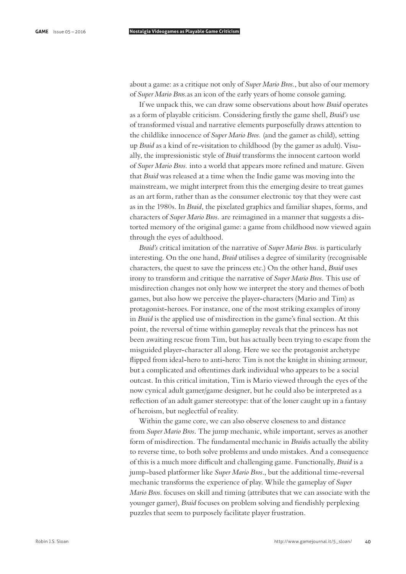about a game: as a critique not only of *Super Mario Bros.*, but also of our memory of *Super Mario Bros.*as an icon of the early years of home console gaming.

If we unpack this, we can draw some observations about how *Braid* operates as a form of playable criticism. Considering frstly the game shell, *Braid's* use of transformed visual and narrative elements purposefully draws attention to the childlike innocence of *Super Mario Bros.* (and the gamer as child), setting up *Braid* as a kind of re-visitation to childhood (by the gamer as adult). Visually, the impressionistic style of *Braid* transforms the innocent cartoon world of *Super Mario Bros.* into a world that appears more refned and mature. Given that *Braid* was released at a time when the Indie game was moving into the mainstream, we might interpret from this the emerging desire to treat games as an art form, rather than as the consumer electronic toy that they were cast as in the 1980s. In *Braid*, the pixelated graphics and familiar shapes, forms, and characters of *Super Mario Bros.* are reimagined in a manner that suggests a distorted memory of the original game: a game from childhood now viewed again through the eyes of adulthood.

*Braid's* critical imitation of the narrative of *Super Mario Bros.* is particularly interesting. On the one hand, *Braid* utilises a degree of similarity (recognisable characters, the quest to save the princess etc.) On the other hand, *Braid* uses irony to transform and critique the narrative of *Super Mario Bros.* This use of misdirection changes not only how we interpret the story and themes of both games, but also how we perceive the player-characters (Mario and Tim) as protagonist-heroes. For instance, one of the most striking examples of irony in *Braid* is the applied use of misdirection in the game's fnal section. At this point, the reversal of time within gameplay reveals that the princess has not been awaiting rescue from Tim, but has actually been trying to escape from the misguided player-character all along. Here we see the protagonist archetype fipped from ideal-hero to anti-hero: Tim is not the knight in shining armour, but a complicated and ofentimes dark individual who appears to be a social outcast. In this critical imitation, Tim is Mario viewed through the eyes of the now cynical adult gamer/game designer, but he could also be interpreted as a refection of an adult gamer stereotype: that of the loner caught up in a fantasy of heroism, but neglectful of reality.

Within the game core, we can also observe closeness to and distance from *Super Mario Bros*. The jump mechanic, while important, serves as another form of misdirection. The fundamental mechanic in *Braid*is actually the ability to reverse time, to both solve problems and undo mistakes. And a consequence of this is a much more difcult and challenging game. Functionally, *Braid* is a jump-based platformer like *Super Mario Bros*., but the additional time-reversal mechanic transforms the experience of play. While the gameplay of *Super Mario Bros*. focuses on skill and timing (attributes that we can associate with the younger gamer), *Braid* focuses on problem solving and fendishly perplexing puzzles that seem to purposely facilitate player frustration.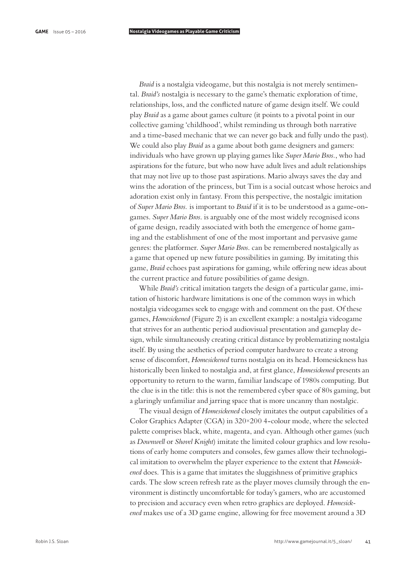*Braid* is a nostalgia videogame, but this nostalgia is not merely sentimental. *Braid's* nostalgia is necessary to the game's thematic exploration of time, relationships, loss, and the conficted nature of game design itself. We could play *Braid* as a game about games culture (it points to a pivotal point in our collective gaming 'childhood', whilst reminding us through both narrative and a time-based mechanic that we can never go back and fully undo the past). We could also play *Braid* as a game about both game designers and gamers: individuals who have grown up playing games like *Super Mario Bros.*, who had aspirations for the future, but who now have adult lives and adult relationships that may not live up to those past aspirations. Mario always saves the day and wins the adoration of the princess, but Tim is a social outcast whose heroics and adoration exist only in fantasy. From this perspective, the nostalgic imitation of *Super Mario Bros.* is important to *Braid* if it is to be understood as a game-ongames. *Super Mario Bros*. is arguably one of the most widely recognised icons of game design, readily associated with both the emergence of home gaming and the establishment of one of the most important and pervasive game genres: the platformer. *Super Mario Bros*. can be remembered nostalgically as a game that opened up new future possibilities in gaming. By imitating this game, *Braid* echoes past aspirations for gaming, while offering new ideas about the current practice and future possibilities of game design.

While *Braid's* critical imitation targets the design of a particular game, imitation of historic hardware limitations is one of the common ways in which nostalgia videogames seek to engage with and comment on the past. Of these games, *Homesickened* (Figure 2) is an excellent example: a nostalgia videogame that strives for an authentic period audiovisual presentation and gameplay design, while simultaneously creating critical distance by problematizing nostalgia itself. By using the aesthetics of period computer hardware to create a strong sense of discomfort, *Homesickened* turns nostalgia on its head. Homesickness has historically been linked to nostalgia and, at frst glance, *Homesickened* presents an opportunity to return to the warm, familiar landscape of 1980s computing. But the clue is in the title: this is not the remembered cyber space of 80s gaming, but a glaringly unfamiliar and jarring space that is more uncanny than nostalgic.

The visual design of *Homesickened* closely imitates the output capabilities of a Color Graphics Adapter (CGA) in 320×200 4-colour mode, where the selected palette comprises black, white, magenta, and cyan. Although other games (such as *Downwell* or *Shovel Knight*) imitate the limited colour graphics and low resolutions of early home computers and consoles, few games allow their technological imitation to overwhelm the player experience to the extent that *Homesickened* does. This is a game that imitates the sluggishness of primitive graphics cards. The slow screen refresh rate as the player moves clumsily through the environment is distinctly uncomfortable for today's gamers, who are accustomed to precision and accuracy even when retro graphics are deployed. *Homesickened* makes use of a 3D game engine, allowing for free movement around a 3D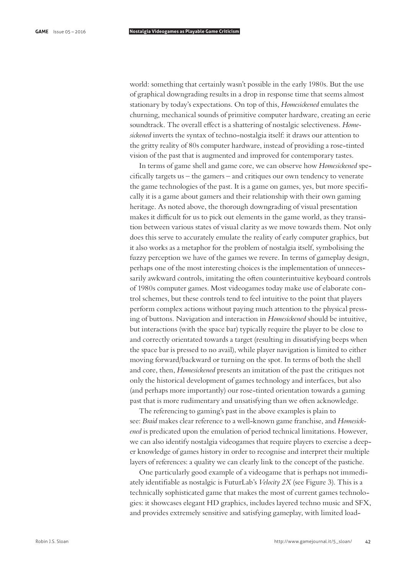world: something that certainly wasn't possible in the early 1980s. But the use of graphical downgrading results in a drop in response time that seems almost stationary by today's expectations. On top of this, *Homesickened* emulates the churning, mechanical sounds of primitive computer hardware, creating an eerie soundtrack. The overall efect is a shattering of nostalgic selectiveness. *Homesickened* inverts the syntax of techno-nostalgia itself: it draws our attention to the gritty reality of 80s computer hardware, instead of providing a rose-tinted vision of the past that is augmented and improved for contemporary tastes.

In terms of game shell and game core, we can observe how *Homesickened* specifcally targets us – the gamers – and critiques our own tendency to venerate the game technologies of the past. It is a game on games, yes, but more specifcally it is a game about gamers and their relationship with their own gaming heritage. As noted above, the thorough downgrading of visual presentation makes it difficult for us to pick out elements in the game world, as they transition between various states of visual clarity as we move towards them. Not only does this serve to accurately emulate the reality of early computer graphics, but it also works as a metaphor for the problem of nostalgia itself, symbolising the fuzzy perception we have of the games we revere. In terms of gameplay design, perhaps one of the most interesting choices is the implementation of unnecessarily awkward controls, imitating the often counterintuitive keyboard controls of 1980s computer games. Most videogames today make use of elaborate control schemes, but these controls tend to feel intuitive to the point that players perform complex actions without paying much attention to the physical pressing of buttons. Navigation and interaction in *Homesickened* should be intuitive, but interactions (with the space bar) typically require the player to be close to and correctly orientated towards a target (resulting in dissatisfying beeps when the space bar is pressed to no avail), while player navigation is limited to either moving forward/backward or turning on the spot. In terms of both the shell and core, then, *Homesickened* presents an imitation of the past the critiques not only the historical development of games technology and interfaces, but also (and perhaps more importantly) our rose-tinted orientation towards a gaming past that is more rudimentary and unsatisfying than we ofen acknowledge.

The referencing to gaming's past in the above examples is plain to see: *Braid* makes clear reference to a well-known game franchise, and *Homesickened* is predicated upon the emulation of period technical limitations. However, we can also identify nostalgia videogames that require players to exercise a deeper knowledge of games history in order to recognise and interpret their multiple layers of references: a quality we can clearly link to the concept of the pastiche.

One particularly good example of a videogame that is perhaps not immediately identifable as nostalgic is FuturLab's *Velocity 2X* (see Figure 3). This is a technically sophisticated game that makes the most of current games technologies: it showcases elegant HD graphics, includes layered techno music and SFX, and provides extremely sensitive and satisfying gameplay, with limited load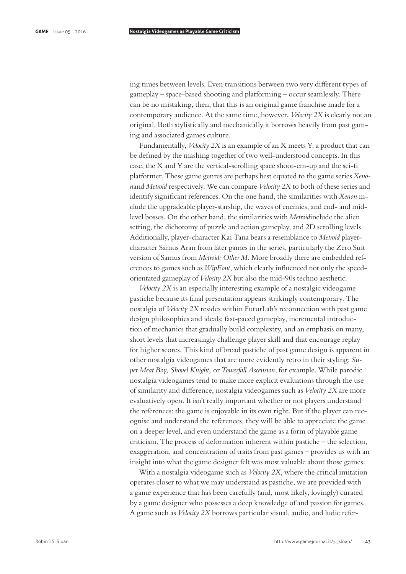ing times between levels. Even transitions between two very diferent types of gameplay – space-based shooting and platforming – occur seamlessly. There can be no mistaking, then, that this is an original game franchise made for a contemporary audience. At the same time, however, *Velocity 2X* is clearly not an original. Both stylistically and mechanically it borrows heavily from past gaming and associated games culture.

Fundamentally, *Velocity 2X* is an example of an X meets Y: a product that can be defned by the mashing together of two well-understood concepts. In this case, the X and Y are the vertical-scrolling space shoot-em-up and the sci-f platformer. These game genres are perhaps best equated to the game series *Xenon*and *Metroid* respectively. We can compare *Velocity 2X* to both of these series and identify signifcant references. On the one hand, the similarities with *Xenon* include the upgradeable player-starship, the waves of enemies, and end- and midlevel bosses. On the other hand, the similarities with *Metroid*include the alien setting, the dichotomy of puzzle and action gameplay, and 2D scrolling levels. Additionally, player-character Kai Tana bears a resemblance to *Metroid* playercharacter Samus Aran from later games in the series, particularly the Zero Suit version of Samus from *Metroid: Other M*. More broadly there are embedded references to games such as *WipEout*, which clearly infuenced not only the speedorientated gameplay of *Velocity 2X* but also the mid-90s techno aesthetic.

*Velocity 2X* is an especially interesting example of a nostalgic videogame pastiche because its fnal presentation appears strikingly contemporary. The nostalgia of *Velocity 2X* resides within FuturLab's reconnection with past game design philosophies and ideals: fast-paced gameplay, incremental introduction of mechanics that gradually build complexity, and an emphasis on many, short levels that increasingly challenge player skill and that encourage replay for higher scores. This kind of broad pastiche of past game design is apparent in other nostalgia videogames that are more evidently retro in their styling: *Super Meat Boy, Shovel Knight,* or *Towerfall Ascension*, for example. While parodic nostalgia videogames tend to make more explicit evaluations through the use of similarity and diference, nostalgia videogames such as *Velocity 2X* are more evaluatively open. It isn't really important whether or not players understand the references: the game is enjoyable in its own right. But if the player can recognise and understand the references, they will be able to appreciate the game on a deeper level, and even understand the game as a form of playable game criticism. The process of deformation inherent within pastiche – the selection, exaggeration, and concentration of traits from past games – provides us with an insight into what the game designer felt was most valuable about those games.

With a nostalgia videogame such as *Velocity 2X*, where the critical imitation operates closer to what we may understand as pastiche, we are provided with a game experience that has been carefully (and, most likely, lovingly) curated by a game designer who possesses a deep knowledge of and passion for games. A game such as *Velocity 2X* borrows particular visual, audio, and ludic refer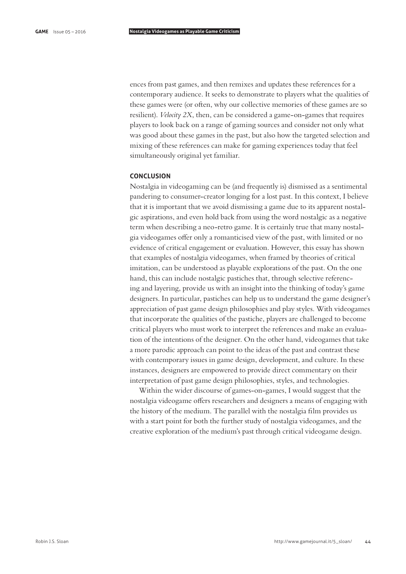ences from past games, and then remixes and updates these references for a contemporary audience. It seeks to demonstrate to players what the qualities of these games were (or often, why our collective memories of these games are so resilient). *Velocity 2X*, then, can be considered a game-on-games that requires players to look back on a range of gaming sources and consider not only what was good about these games in the past, but also how the targeted selection and mixing of these references can make for gaming experiences today that feel simultaneously original yet familiar.

# **CONCLUSION**

Nostalgia in videogaming can be (and frequently is) dismissed as a sentimental pandering to consumer-creator longing for a lost past. In this context, I believe that it is important that we avoid dismissing a game due to its apparent nostalgic aspirations, and even hold back from using the word nostalgic as a negative term when describing a neo-retro game. It is certainly true that many nostalgia videogames ofer only a romanticised view of the past, with limited or no evidence of critical engagement or evaluation. However, this essay has shown that examples of nostalgia videogames, when framed by theories of critical imitation, can be understood as playable explorations of the past. On the one hand, this can include nostalgic pastiches that, through selective referencing and layering, provide us with an insight into the thinking of today's game designers. In particular, pastiches can help us to understand the game designer's appreciation of past game design philosophies and play styles. With videogames that incorporate the qualities of the pastiche, players are challenged to become critical players who must work to interpret the references and make an evaluation of the intentions of the designer. On the other hand, videogames that take a more parodic approach can point to the ideas of the past and contrast these with contemporary issues in game design, development, and culture. In these instances, designers are empowered to provide direct commentary on their interpretation of past game design philosophies, styles, and technologies.

Within the wider discourse of games-on-games, I would suggest that the nostalgia videogame ofers researchers and designers a means of engaging with the history of the medium. The parallel with the nostalgia flm provides us with a start point for both the further study of nostalgia videogames, and the creative exploration of the medium's past through critical videogame design.